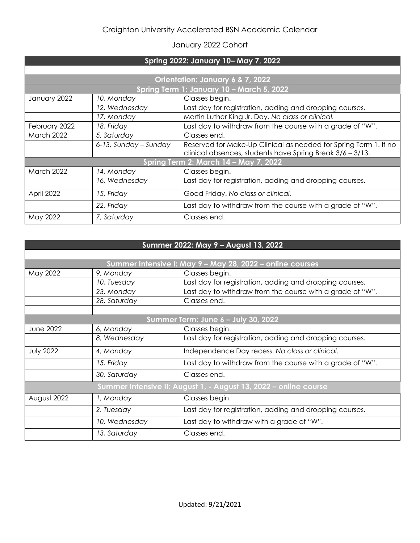## Creighton University Accelerated BSN Academic Calendar

## January 2022 Cohort

| Spring 2022: January 10-May 7, 2022       |                       |                                                                                                                               |  |  |
|-------------------------------------------|-----------------------|-------------------------------------------------------------------------------------------------------------------------------|--|--|
|                                           |                       |                                                                                                                               |  |  |
| Orientation: January 6 & 7, 2022          |                       |                                                                                                                               |  |  |
| Spring Term 1: January 10 - March 5, 2022 |                       |                                                                                                                               |  |  |
| January 2022                              | 10, Monday            | Classes begin.                                                                                                                |  |  |
|                                           | 12, Wednesday         | Last day for registration, adding and dropping courses.                                                                       |  |  |
|                                           | 17, Monday            | Martin Luther King Jr. Day. No class or clinical.                                                                             |  |  |
| February 2022                             | 18, Friday            | Last day to withdraw from the course with a grade of "W".                                                                     |  |  |
| March 2022                                | 5, Saturday           | Classes end.                                                                                                                  |  |  |
|                                           | 6-13, Sunday - Sunday | Reserved for Make-Up Clinical as needed for Spring Term 1. If no<br>clinical absences, students have Spring Break 3/6 - 3/13. |  |  |
| Spring Term 2: March 14 - May 7, 2022     |                       |                                                                                                                               |  |  |
| <b>March 2022</b>                         | 14, Monday            | Classes begin.                                                                                                                |  |  |
|                                           | 16, Wednesday         | Last day for registration, adding and dropping courses.                                                                       |  |  |
| April 2022                                | 15, Friday            | Good Friday. No class or clinical.                                                                                            |  |  |
|                                           | 22, Friday            | Last day to withdraw from the course with a grade of "W".                                                                     |  |  |
| May 2022                                  | 7, Saturday           | Classes end.                                                                                                                  |  |  |

| Summer 2022: May 9 - August 13, 2022                             |               |                                                           |  |  |
|------------------------------------------------------------------|---------------|-----------------------------------------------------------|--|--|
|                                                                  |               |                                                           |  |  |
| Summer Intensive I: May 9 - May 28, 2022 - online courses        |               |                                                           |  |  |
| May 2022                                                         | 9, Monday     | Classes begin.                                            |  |  |
|                                                                  | 10, Tuesday   | Last day for registration, adding and dropping courses.   |  |  |
|                                                                  | 23, Monday    | Last day to withdraw from the course with a grade of "W". |  |  |
|                                                                  | 28, Saturday  | Classes end.                                              |  |  |
|                                                                  |               |                                                           |  |  |
| Summer Term: June 6 - July 30, 2022                              |               |                                                           |  |  |
| <b>June 2022</b>                                                 | 6, Monday     | Classes begin.                                            |  |  |
|                                                                  | 8, Wednesday  | Last day for registration, adding and dropping courses.   |  |  |
| <b>July 2022</b>                                                 | 4, Monday     | Independence Day recess. No class or clinical.            |  |  |
|                                                                  | 15, Friday    | Last day to withdraw from the course with a grade of "W". |  |  |
|                                                                  | 30, Saturday  | Classes end.                                              |  |  |
| Summer Intensive II: August 1, - August 13, 2022 - online course |               |                                                           |  |  |
| August 2022                                                      | 1, Monday     | Classes begin.                                            |  |  |
|                                                                  | 2, Tuesday    | Last day for registration, adding and dropping courses.   |  |  |
|                                                                  | 10, Wednesday | Last day to withdraw with a grade of "W".                 |  |  |
|                                                                  | 13, Saturday  | Classes end.                                              |  |  |